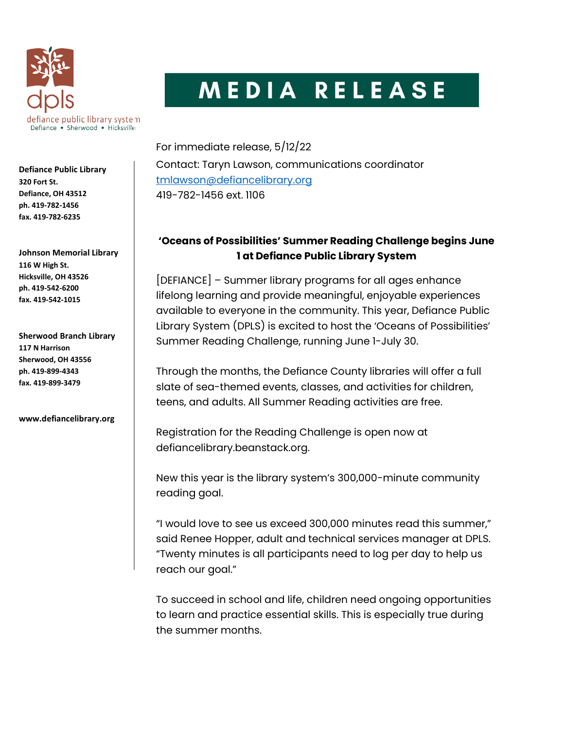

MEDIA RELEASE

Defiance Public Library 320 Fort St. Defiance, OH 43512 ph. 419-782-1456 fax. 419-782-6235

Johnson Memorial Library 116 W High St. Hicksville, OH 43526 ph. 419-542-6200 fax. 419-542-1015

Sherwood Branch Library 117 N Harrison Sherwood, OH 43556 ph. 419-899-4343 fax. 419-899-3479

www.defiancelibrary.org

For immediate release, 5/12/22 Contact: Taryn Lawson, communications coordinator tmlawson@defiancelibrary.org 419-782-1456 ext. 1106

## 'Oceans of Possibilities' Summer Reading Challenge begins June 1 at Defiance Public Library System

[DEFIANCE] – Summer library programs for all ages enhance lifelong learning and provide meaningful, enjoyable experiences available to everyone in the community. This year, Defiance Public Library System (DPLS) is excited to host the 'Oceans of Possibilities' Summer Reading Challenge, running June 1-July 30.

Through the months, the Defiance County libraries will offer a full slate of sea-themed events, classes, and activities for children, teens, and adults. All Summer Reading activities are free.

Registration for the Reading Challenge is open now at defiancelibrary.beanstack.org.

New this year is the library system's 300,000-minute community reading goal.

"I would love to see us exceed 300,000 minutes read this summer," said Renee Hopper, adult and technical services manager at DPLS. "Twenty minutes is all participants need to log per day to help us reach our goal."

To succeed in school and life, children need ongoing opportunities to learn and practice essential skills. This is especially true during the summer months.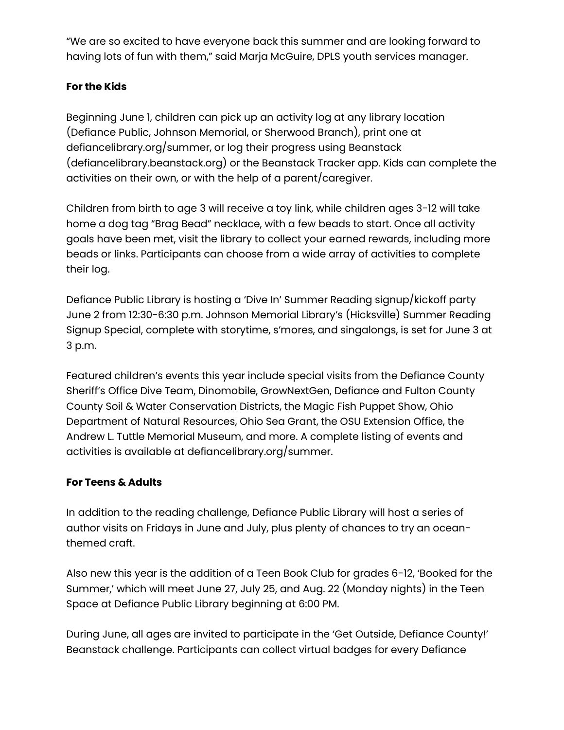"We are so excited to have everyone back this summer and are looking forward to having lots of fun with them," said Marja McGuire, DPLS youth services manager.

## For the Kids

Beginning June 1, children can pick up an activity log at any library location (Defiance Public, Johnson Memorial, or Sherwood Branch), print one at defiancelibrary.org/summer, or log their progress using Beanstack (defiancelibrary.beanstack.org) or the Beanstack Tracker app. Kids can complete the activities on their own, or with the help of a parent/caregiver.

Children from birth to age 3 will receive a toy link, while children ages 3-12 will take home a dog tag "Brag Bead" necklace, with a few beads to start. Once all activity goals have been met, visit the library to collect your earned rewards, including more beads or links. Participants can choose from a wide array of activities to complete their log.

Defiance Public Library is hosting a 'Dive In' Summer Reading signup/kickoff party June 2 from 12:30-6:30 p.m. Johnson Memorial Library's (Hicksville) Summer Reading Signup Special, complete with storytime, s'mores, and singalongs, is set for June 3 at 3 p.m.

Featured children's events this year include special visits from the Defiance County Sheriff's Office Dive Team, Dinomobile, GrowNextGen, Defiance and Fulton County County Soil & Water Conservation Districts, the Magic Fish Puppet Show, Ohio Department of Natural Resources, Ohio Sea Grant, the OSU Extension Office, the Andrew L. Tuttle Memorial Museum, and more. A complete listing of events and activities is available at defiancelibrary.org/summer.

## For Teens & Adults

In addition to the reading challenge, Defiance Public Library will host a series of author visits on Fridays in June and July, plus plenty of chances to try an oceanthemed craft.

Also new this year is the addition of a Teen Book Club for grades 6-12, 'Booked for the Summer,' which will meet June 27, July 25, and Aug. 22 (Monday nights) in the Teen Space at Defiance Public Library beginning at 6:00 PM.

During June, all ages are invited to participate in the 'Get Outside, Defiance County!' Beanstack challenge. Participants can collect virtual badges for every Defiance